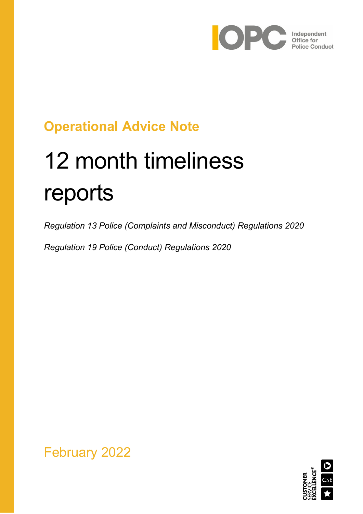

## **Operational Advice Note**

# 12 month timeliness reports

*Regulation 13 Police (Complaints and Misconduct) Regulations 2020*

*Regulation 19 Police (Conduct) Regulations 2020*



February 2022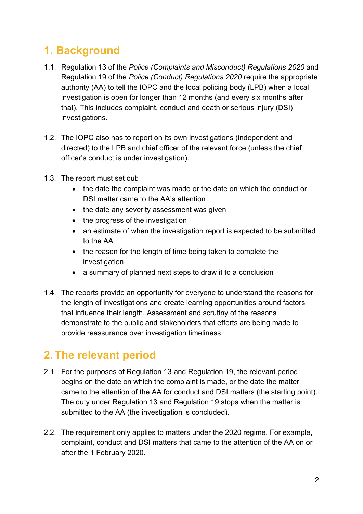## **1. Background**

- 1.1. Regulation 13 of the *Police (Complaints and Misconduct) Regulations 2020* and Regulation 19 of the *Police (Conduct) Regulations 2020* require the appropriate authority (AA) to tell the IOPC and the local policing body (LPB) when a local investigation is open for longer than 12 months (and every six months after that). This includes complaint, conduct and death or serious injury (DSI) investigations.
- 1.2. The IOPC also has to report on its own investigations (independent and directed) to the LPB and chief officer of the relevant force (unless the chief officer's conduct is under investigation).
- 1.3. The report must set out:
	- the date the complaint was made or the date on which the conduct or DSI matter came to the AA's attention
	- the date any severity assessment was given
	- the progress of the investigation
	- an estimate of when the investigation report is expected to be submitted to the AA
	- the reason for the length of time being taken to complete the investigation
	- a summary of planned next steps to draw it to a conclusion
- 1.4. The reports provide an opportunity for everyone to understand the reasons for the length of investigations and create learning opportunities around factors that influence their length. Assessment and scrutiny of the reasons demonstrate to the public and stakeholders that efforts are being made to provide reassurance over investigation timeliness.

### **2. The relevant period**

- 2.1. For the purposes of Regulation 13 and Regulation 19, the relevant period begins on the date on which the complaint is made, or the date the matter came to the attention of the AA for conduct and DSI matters (the starting point). The duty under Regulation 13 and Regulation 19 stops when the matter is submitted to the AA (the investigation is concluded).
- 2.2. The requirement only applies to matters under the 2020 regime. For example, complaint, conduct and DSI matters that came to the attention of the AA on or after the 1 February 2020.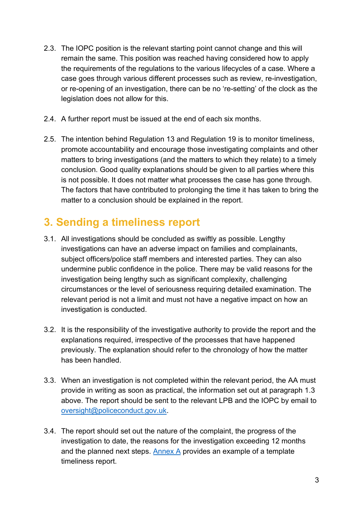- 2.3. The IOPC position is the relevant starting point cannot change and this will remain the same. This position was reached having considered how to apply the requirements of the regulations to the various lifecycles of a case. Where a case goes through various different processes such as review, re-investigation, or re-opening of an investigation, there can be no 're-setting' of the clock as the legislation does not allow for this.
- 2.4. A further report must be issued at the end of each six months.
- 2.5. The intention behind Regulation 13 and Regulation 19 is to monitor timeliness, promote accountability and encourage those investigating complaints and other matters to bring investigations (and the matters to which they relate) to a timely conclusion. Good quality explanations should be given to all parties where this is not possible. It does not matter what processes the case has gone through. The factors that have contributed to prolonging the time it has taken to bring the matter to a conclusion should be explained in the report.

## **3. Sending a timeliness report**

- 3.1. All investigations should be concluded as swiftly as possible. Lengthy investigations can have an adverse impact on families and complainants, subject officers/police staff members and interested parties. They can also undermine public confidence in the police. There may be valid reasons for the investigation being lengthy such as significant complexity, challenging circumstances or the level of seriousness requiring detailed examination. The relevant period is not a limit and must not have a negative impact on how an investigation is conducted.
- 3.2. It is the responsibility of the investigative authority to provide the report and the explanations required, irrespective of the processes that have happened previously. The explanation should refer to the chronology of how the matter has been handled.
- 3.3. When an investigation is not completed within the relevant period, the AA must provide in writing as soon as practical, the information set out at paragraph 1.3 above. The report should be sent to the relevant LPB and the IOPC by email to [oversight@policeconduct.gov.uk.](mailto:oversight@policeconduct.gov.uk)
- 3.4. The report should set out the nature of the complaint, the progress of the investigation to date, the reasons for the investigation exceeding 12 months and the planned next steps. [Annex A](#page-6-0) provides an example of a template timeliness report.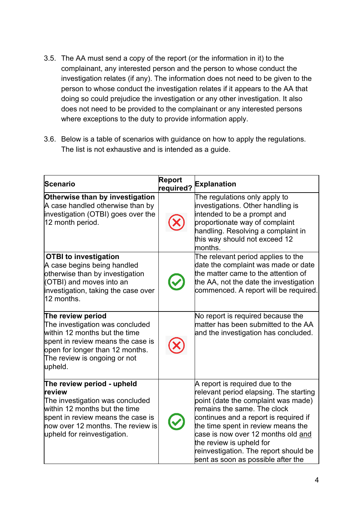- 3.5. The AA must send a copy of the report (or the information in it) to the complainant, any interested person and the person to whose conduct the investigation relates (if any). The information does not need to be given to the person to whose conduct the investigation relates if it appears to the AA that doing so could prejudice the investigation or any other investigation. It also does not need to be provided to the complainant or any interested persons where exceptions to the duty to provide information apply.
- 3.6. Below is a table of scenarios with guidance on how to apply the regulations. The list is not exhaustive and is intended as a guide.

| Scenario                                                                                                                                                                                                               | <b>Report</b><br>required? | <b>Explanation</b>                                                                                                                                                                                                                                                                                                                                                              |
|------------------------------------------------------------------------------------------------------------------------------------------------------------------------------------------------------------------------|----------------------------|---------------------------------------------------------------------------------------------------------------------------------------------------------------------------------------------------------------------------------------------------------------------------------------------------------------------------------------------------------------------------------|
| Otherwise than by investigation<br>A case handled otherwise than by<br>investigation (OTBI) goes over the<br>12 month period.                                                                                          |                            | The regulations only apply to<br>investigations. Other handling is<br>intended to be a prompt and<br>proportionate way of complaint<br>handling. Resolving a complaint in<br>this way should not exceed 12<br>months.                                                                                                                                                           |
| <b>OTBI to investigation</b><br>A case begins being handled<br>otherwise than by investigation<br>(OTBI) and moves into an<br>investigation, taking the case over<br>12 months.                                        |                            | The relevant period applies to the<br>date the complaint was made or date<br>the matter came to the attention of<br>the AA, not the date the investigation<br>commenced. A report will be required.                                                                                                                                                                             |
| The review period<br>The investigation was concluded<br>within 12 months but the time<br>spent in review means the case is<br>open for longer than 12 months.<br>The review is ongoing or not<br>upheld.               |                            | No report is required because the<br>$ $ matter has been submitted to the AA<br>and the investigation has concluded.                                                                                                                                                                                                                                                            |
| The review period - upheld<br>review<br>The investigation was concluded<br>within 12 months but the time<br>spent in review means the case is<br>$\,$ how over 12 months. The review is<br>upheld for reinvestigation. |                            | A report is required due to the<br>relevant period elapsing. The starting<br>point (date the complaint was made)<br>remains the same. The clock<br>continues and a report is required if<br>the time spent in review means the<br>case is now over 12 months old and<br>the review is upheld for<br>reinvestigation. The report should be<br>sent as soon as possible after the |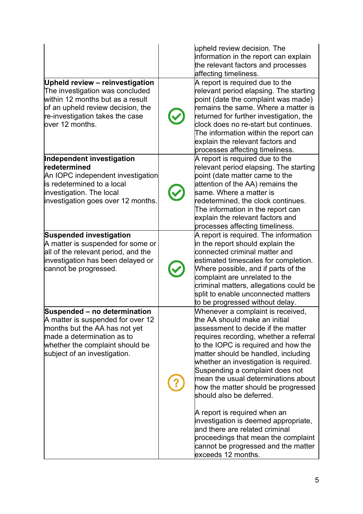| <b>Upheld review - reinvestigation</b>                                                                                                                                                                  | upheld review decision. The<br>information in the report can explain<br>the relevant factors and processes<br>affecting timeliness.<br>A report is required due to the                                                                                                                                                                                                                                                                                                                                                                                                                                                               |
|---------------------------------------------------------------------------------------------------------------------------------------------------------------------------------------------------------|--------------------------------------------------------------------------------------------------------------------------------------------------------------------------------------------------------------------------------------------------------------------------------------------------------------------------------------------------------------------------------------------------------------------------------------------------------------------------------------------------------------------------------------------------------------------------------------------------------------------------------------|
| The investigation was concluded<br>within 12 months but as a result<br>of an upheld review decision, the<br>re-investigation takes the case<br>lover 12 months.                                         | relevant period elapsing. The starting<br>point (date the complaint was made)<br>remains the same. Where a matter is<br>returned for further investigation, the<br>clock does no re-start but continues.<br>The information within the report can<br>explain the relevant factors and<br>processes affecting timeliness.                                                                                                                                                                                                                                                                                                             |
| Independent investigation<br><b>redetermined</b><br>An IOPC independent investigation<br>is redetermined to a local<br>investigation. The local<br>investigation goes over 12 months.                   | A report is required due to the<br>relevant period elapsing. The starting<br>point (date matter came to the<br>attention of the AA) remains the<br>same. Where a matter is<br>redetermined, the clock continues.<br>The information in the report can<br>explain the relevant factors and<br>processes affecting timeliness.                                                                                                                                                                                                                                                                                                         |
| <b>Suspended investigation</b><br>A matter is suspended for some or<br>all of the relevant period, and the<br>investigation has been delayed or<br>cannot be progressed.                                | A report is required. The information<br>in the report should explain the<br>connected criminal matter and<br>estimated timescales for completion.<br>Where possible, and if parts of the<br>complaint are unrelated to the<br>criminal matters, allegations could be<br>split to enable unconnected matters<br>to be progressed without delay.                                                                                                                                                                                                                                                                                      |
| Suspended - no determination<br>A matter is suspended for over 12<br>months but the AA has not yet<br>$ $ made a determination as to<br>whether the complaint should be<br>subject of an investigation. | Whenever a complaint is received,<br>the AA should make an initial<br>assessment to decide if the matter<br>requires recording, whether a referral<br>to the IOPC is required and how the<br>matter should be handled, including<br>whether an investigation is required.<br>Suspending a complaint does not<br>mean the usual determinations about<br>how the matter should be progressed<br>should also be deferred.<br>A report is required when an<br>investigation is deemed appropriate,<br>and there are related criminal<br>proceedings that mean the complaint<br>cannot be progressed and the matter<br>exceeds 12 months. |